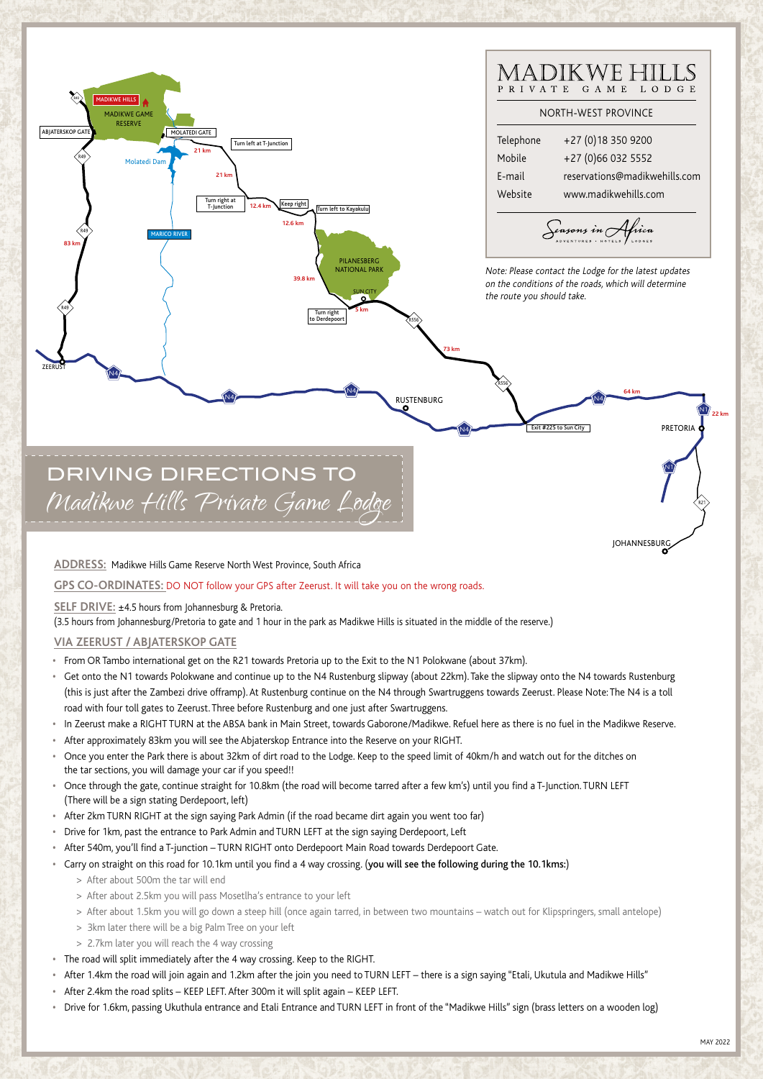

**ADDRESS:** Madikwe Hills Game Reserve North West Province, South Africa

## **GPS CO-ORDINATES:** DO NOT follow your GPS after Zeerust. It will take you on the wrong roads.

**SELF DRIVE:** ±4.5 hours from Johannesburg & Pretoria.

(3.5 hours from Johannesburg/Pretoria to gate and 1 hour in the park as Madikwe Hills is situated in the middle of the reserve.)

## **VIA ZEERUST / ABJATERSKOP GATE**

- **•** From OR Tambo international get on the R21 towards Pretoria up to the Exit to the N1 Polokwane (about 37km).
- **•** Get onto the N1 towards Polokwane and continue up to the N4 Rustenburg slipway (about 22km). Take the slipway onto the N4 towards Rustenburg (this is just after the Zambezi drive offramp). At Rustenburg continue on the N4 through Swartruggens towards Zeerust. Please Note: The N4 is a toll road with four toll gates to Zeerust. Three before Rustenburg and one just after Swartruggens.
- **•** In Zeerust make a RIGHT TURN at the ABSA bank in Main Street, towards Gaborone/Madikwe. Refuel here as there is no fuel in the Madikwe Reserve.
- **•** After approximately 83km you will see the Abjaterskop Entrance into the Reserve on your RIGHT.
- **•** Once you enter the Park there is about 32km of dirt road to the Lodge. Keep to the speed limit of 40km/h and watch out for the ditches on the tar sections, you will damage your car if you speed!!
- **•** Once through the gate, continue straight for 10.8km (the road will become tarred after a few km's) until you find a T-Junction. TURN LEFT (There will be a sign stating Derdepoort, left)
- **•** After 2km TURN RIGHT at the sign saying Park Admin (if the road became dirt again you went too far)
- **•** Drive for 1km, past the entrance to Park Admin and TURN LEFT at the sign saying Derdepoort, Left
- **•** After 540m, you'll find a T-junction TURN RIGHT onto Derdepoort Main Road towards Derdepoort Gate.
- **•** Carry on straight on this road for 10.1km until you find a 4 way crossing. (you will see the following during the 10.1kms:)
	- > After about 500m the tar will end
	- > After about 2.5km you will pass Mosetlha's entrance to your left
	- > After about 1.5km you will go down a steep hill (once again tarred, in between two mountains watch out for Klipspringers, small antelope)
	- > 3km later there will be a big Palm Tree on your left
	- > 2.7km later you will reach the 4 way crossing
- **•** The road will split immediately after the 4 way crossing. Keep to the RIGHT.
- **•** After 1.4km the road will join again and 1.2km after the join you need to TURN LEFT there is a sign saying "Etali, Ukutula and Madikwe Hills"
- **•** After 2.4km the road splits KEEP LEFT. After 300m it will split again KEEP LEFT.
- **•** Drive for 1.6km, passing Ukuthula entrance and Etali Entrance and TURN LEFT in front of the "Madikwe Hills" sign (brass letters on a wooden log)